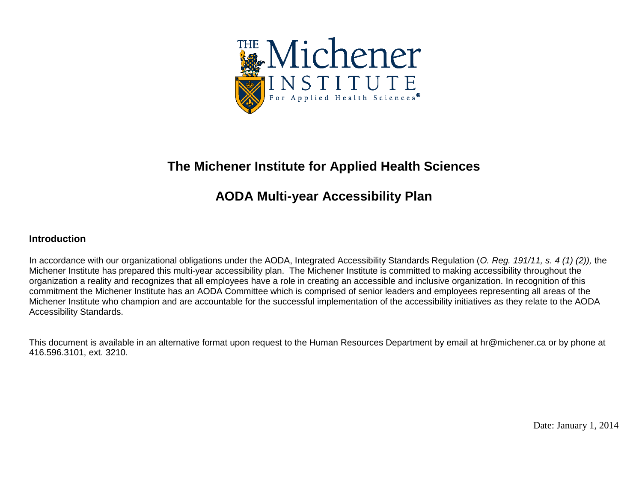

## **The Michener Institute for Applied Health Sciences**

## **AODA Multi-year Accessibility Plan**

## **Introduction**

In accordance with our organizational obligations under the AODA, Integrated Accessibility Standards Regulation (*O. Reg. 191/11, s. 4 (1) (2)),* the Michener Institute has prepared this multi-year accessibility plan. The Michener Institute is committed to making accessibility throughout the organization a reality and recognizes that all employees have a role in creating an accessible and inclusive organization. In recognition of this commitment the Michener Institute has an AODA Committee which is comprised of senior leaders and employees representing all areas of the Michener Institute who champion and are accountable for the successful implementation of the accessibility initiatives as they relate to the AODA Accessibility Standards.

This document is available in an alternative format upon request to the Human Resources Department by email at hr@michener.ca or by phone at 416.596.3101, ext. 3210.

Date: January 1, 2014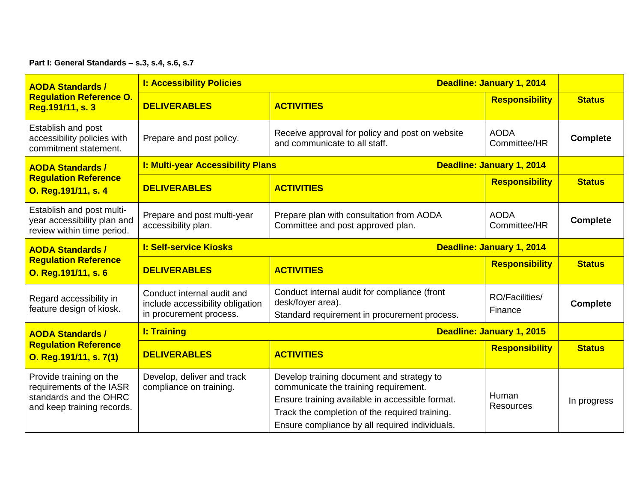**Part I: General Standards – s.3, s.4, s.6, s.7**

| <b>AODA Standards /</b>                                                                                     | <b>I: Accessibility Policies</b>                                                          |                                                                                                                                                                                                                                           | Deadline: January 1, 2014   |                 |
|-------------------------------------------------------------------------------------------------------------|-------------------------------------------------------------------------------------------|-------------------------------------------------------------------------------------------------------------------------------------------------------------------------------------------------------------------------------------------|-----------------------------|-----------------|
| <b>Regulation Reference O.</b><br>Reg.191/11, s. 3                                                          | <b>DELIVERABLES</b>                                                                       | <b>ACTIVITIES</b>                                                                                                                                                                                                                         | <b>Responsibility</b>       | <b>Status</b>   |
| Establish and post<br>accessibility policies with<br>commitment statement.                                  | Prepare and post policy.                                                                  | Receive approval for policy and post on website<br>and communicate to all staff.                                                                                                                                                          | <b>AODA</b><br>Committee/HR | <b>Complete</b> |
| <b>AODA Standards /</b>                                                                                     | <b>I: Multi-year Accessibility Plans</b>                                                  |                                                                                                                                                                                                                                           | Deadline: January 1, 2014   |                 |
| <b>Regulation Reference</b><br>O. Reg. 191/11, s. 4                                                         | <b>DELIVERABLES</b>                                                                       | <b>ACTIVITIES</b>                                                                                                                                                                                                                         | <b>Responsibility</b>       | <b>Status</b>   |
| Establish and post multi-<br>year accessibility plan and<br>review within time period.                      | Prepare and post multi-year<br>accessibility plan.                                        | Prepare plan with consultation from AODA<br>Committee and post approved plan.                                                                                                                                                             | <b>AODA</b><br>Committee/HR | <b>Complete</b> |
| <b>AODA Standards /</b>                                                                                     | <b>I: Self-service Kiosks</b>                                                             |                                                                                                                                                                                                                                           | Deadline: January 1, 2014   |                 |
| <b>Regulation Reference</b><br>O. Reg. 191/11, s. 6                                                         | <b>DELIVERABLES</b>                                                                       | <b>ACTIVITIES</b>                                                                                                                                                                                                                         | <b>Responsibility</b>       | <b>Status</b>   |
| Regard accessibility in<br>feature design of kiosk.                                                         | Conduct internal audit and<br>include accessibility obligation<br>in procurement process. | Conduct internal audit for compliance (front<br>desk/foyer area).<br>Standard requirement in procurement process.                                                                                                                         | RO/Facilities/<br>Finance   | <b>Complete</b> |
| <b>AODA Standards /</b>                                                                                     | <b>I: Training</b>                                                                        | Deadline: January 1, 2015                                                                                                                                                                                                                 |                             |                 |
| <b>Regulation Reference</b><br>O. Reg.191/11, s. 7(1)                                                       | <b>DELIVERABLES</b>                                                                       | <b>ACTIVITIES</b>                                                                                                                                                                                                                         | <b>Responsibility</b>       | <b>Status</b>   |
| Provide training on the<br>requirements of the IASR<br>standards and the OHRC<br>and keep training records. | Develop, deliver and track<br>compliance on training.                                     | Develop training document and strategy to<br>communicate the training requirement.<br>Ensure training available in accessible format.<br>Track the completion of the required training.<br>Ensure compliance by all required individuals. | Human<br><b>Resources</b>   | In progress     |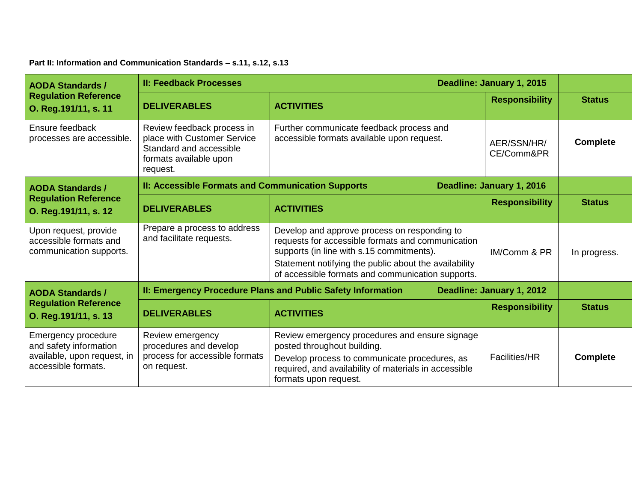**Part II: Information and Communication Standards – s.11, s.12, s.13**

| <b>AODA Standards /</b>                                                                                    | <b>II: Feedback Processes</b><br>Deadline: January 1, 2015                                                                 |                                                                                                                                                                                                                                                              |                           |                 |
|------------------------------------------------------------------------------------------------------------|----------------------------------------------------------------------------------------------------------------------------|--------------------------------------------------------------------------------------------------------------------------------------------------------------------------------------------------------------------------------------------------------------|---------------------------|-----------------|
| <b>Regulation Reference</b><br>O. Reg. 191/11, s. 11                                                       | <b>DELIVERABLES</b>                                                                                                        | <b>ACTIVITIES</b>                                                                                                                                                                                                                                            | <b>Responsibility</b>     | <b>Status</b>   |
| Ensure feedback<br>processes are accessible.                                                               | Review feedback process in<br>place with Customer Service<br>Standard and accessible<br>formats available upon<br>request. | Further communicate feedback process and<br>accessible formats available upon request.                                                                                                                                                                       | AER/SSN/HR/<br>CE/Comm&PR | <b>Complete</b> |
| <b>AODA Standards /</b>                                                                                    | II: Accessible Formats and Communication Supports<br>Deadline: January 1, 2016                                             |                                                                                                                                                                                                                                                              |                           |                 |
| <b>Regulation Reference</b><br>O. Reg. 191/11, s. 12                                                       | <b>DELIVERABLES</b>                                                                                                        | <b>ACTIVITIES</b>                                                                                                                                                                                                                                            | <b>Responsibility</b>     | <b>Status</b>   |
| Upon request, provide<br>accessible formats and<br>communication supports.                                 | Prepare a process to address<br>and facilitate requests.                                                                   | Develop and approve process on responding to<br>requests for accessible formats and communication<br>supports (in line with s.15 commitments).<br>Statement notifying the public about the availability<br>of accessible formats and communication supports. | IM/Comm & PR              | In progress.    |
| <b>AODA Standards /</b>                                                                                    |                                                                                                                            | II: Emergency Procedure Plans and Public Safety Information                                                                                                                                                                                                  | Deadline: January 1, 2012 |                 |
| <b>Regulation Reference</b><br>O. Reg. 191/11, s. 13                                                       | <b>DELIVERABLES</b>                                                                                                        | <b>ACTIVITIES</b>                                                                                                                                                                                                                                            | <b>Responsibility</b>     | <b>Status</b>   |
| <b>Emergency procedure</b><br>and safety information<br>available, upon request, in<br>accessible formats. | Review emergency<br>procedures and develop<br>process for accessible formats<br>on request.                                | Review emergency procedures and ensure signage<br>posted throughout building.<br>Develop process to communicate procedures, as<br>required, and availability of materials in accessible<br>formats upon request.                                             | <b>Facilities/HR</b>      | <b>Complete</b> |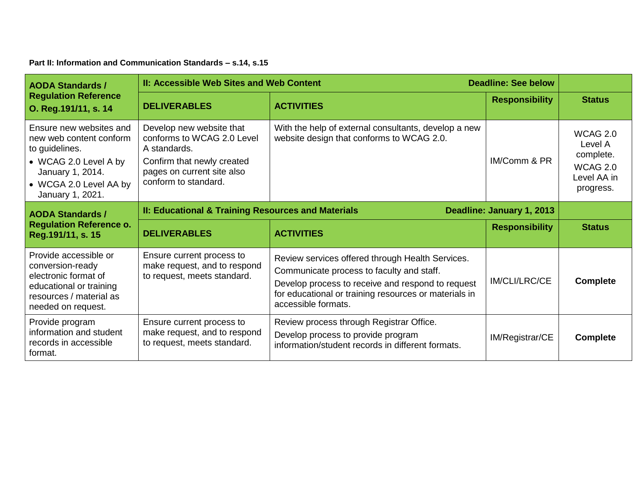**Part II: Information and Communication Standards – s.14, s.15**

| <b>AODA Standards /</b>                                                                                                                                         | <b>II: Accessible Web Sites and Web Content</b>                                                                                                            |                                                                                                                                                                                                                                    | <b>Deadline: See below</b> |                                                                                        |
|-----------------------------------------------------------------------------------------------------------------------------------------------------------------|------------------------------------------------------------------------------------------------------------------------------------------------------------|------------------------------------------------------------------------------------------------------------------------------------------------------------------------------------------------------------------------------------|----------------------------|----------------------------------------------------------------------------------------|
| <b>Regulation Reference</b><br>O. Reg. 191/11, s. 14                                                                                                            | <b>DELIVERABLES</b>                                                                                                                                        | <b>ACTIVITIES</b>                                                                                                                                                                                                                  | <b>Responsibility</b>      | <b>Status</b>                                                                          |
| Ensure new websites and<br>new web content conform<br>to guidelines.<br>• WCAG 2.0 Level A by<br>January 1, 2014.<br>• WCGA 2.0 Level AA by<br>January 1, 2021. | Develop new website that<br>conforms to WCAG 2.0 Level<br>A standards.<br>Confirm that newly created<br>pages on current site also<br>conform to standard. | With the help of external consultants, develop a new<br>website design that conforms to WCAG 2.0.                                                                                                                                  | IM/Comm & PR               | <b>WCAG 2.0</b><br>Level A<br>complete.<br><b>WCAG 2.0</b><br>Level AA in<br>progress. |
| <b>AODA Standards /</b>                                                                                                                                         | II: Educational & Training Resources and Materials<br>Deadline: January 1, 2013                                                                            |                                                                                                                                                                                                                                    |                            |                                                                                        |
| <b>Regulation Reference o.</b><br>Reg.191/11, s. 15                                                                                                             | <b>DELIVERABLES</b>                                                                                                                                        | <b>ACTIVITIES</b>                                                                                                                                                                                                                  | <b>Responsibility</b>      | <b>Status</b>                                                                          |
| Provide accessible or<br>conversion-ready<br>electronic format of<br>educational or training<br>resources / material as<br>needed on request.                   | Ensure current process to<br>make request, and to respond<br>to request, meets standard.                                                                   | Review services offered through Health Services.<br>Communicate process to faculty and staff.<br>Develop process to receive and respond to request<br>for educational or training resources or materials in<br>accessible formats. | <b>IM/CLI/LRC/CE</b>       | <b>Complete</b>                                                                        |
| Provide program<br>information and student<br>records in accessible<br>format.                                                                                  | Ensure current process to<br>make request, and to respond<br>to request, meets standard.                                                                   | Review process through Registrar Office.<br>Develop process to provide program<br>information/student records in different formats.                                                                                                | IM/Registrar/CE            | <b>Complete</b>                                                                        |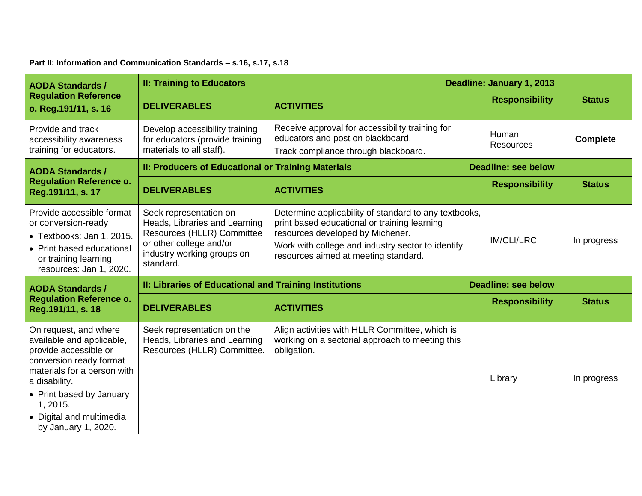**Part II: Information and Communication Standards – s.16, s.17, s.18**

| <b>AODA Standards /</b>                                                                                                                                                                                                                           | <b>II: Training to Educators</b><br>Deadline: January 1, 2013                                                                                               |                                                                                                                                                                                                                                        |                            |                 |
|---------------------------------------------------------------------------------------------------------------------------------------------------------------------------------------------------------------------------------------------------|-------------------------------------------------------------------------------------------------------------------------------------------------------------|----------------------------------------------------------------------------------------------------------------------------------------------------------------------------------------------------------------------------------------|----------------------------|-----------------|
| <b>Regulation Reference</b><br>o. Reg.191/11, s. 16                                                                                                                                                                                               | <b>DELIVERABLES</b>                                                                                                                                         | <b>ACTIVITIES</b>                                                                                                                                                                                                                      | <b>Responsibility</b>      | <b>Status</b>   |
| Provide and track<br>accessibility awareness<br>training for educators.                                                                                                                                                                           | Develop accessibility training<br>for educators (provide training<br>materials to all staff).                                                               | Receive approval for accessibility training for<br>educators and post on blackboard.<br>Track compliance through blackboard.                                                                                                           | Human<br><b>Resources</b>  | <b>Complete</b> |
| <b>AODA Standards /</b>                                                                                                                                                                                                                           | II: Producers of Educational or Training Materials                                                                                                          |                                                                                                                                                                                                                                        | <b>Deadline: see below</b> |                 |
| <b>Regulation Reference o.</b><br>Reg.191/11, s. 17                                                                                                                                                                                               | <b>DELIVERABLES</b>                                                                                                                                         | <b>ACTIVITIES</b>                                                                                                                                                                                                                      | <b>Responsibility</b>      | <b>Status</b>   |
| Provide accessible format<br>or conversion-ready<br>• Textbooks: Jan 1, 2015.<br>• Print based educational<br>or training learning<br>resources: Jan 1, 2020.                                                                                     | Seek representation on<br>Heads, Libraries and Learning<br>Resources (HLLR) Committee<br>or other college and/or<br>industry working groups on<br>standard. | Determine applicability of standard to any textbooks,<br>print based educational or training learning<br>resources developed by Michener.<br>Work with college and industry sector to identify<br>resources aimed at meeting standard. | <b>IM/CLI/LRC</b>          | In progress     |
| <b>AODA Standards /</b>                                                                                                                                                                                                                           | II: Libraries of Educational and Training Institutions                                                                                                      |                                                                                                                                                                                                                                        | <b>Deadline: see below</b> |                 |
| <b>Regulation Reference o.</b><br>Reg.191/11, s. 18                                                                                                                                                                                               | <b>DELIVERABLES</b>                                                                                                                                         | <b>ACTIVITIES</b>                                                                                                                                                                                                                      | <b>Responsibility</b>      | <b>Status</b>   |
| On request, and where<br>available and applicable,<br>provide accessible or<br>conversion ready format<br>materials for a person with<br>a disability.<br>• Print based by January<br>1, 2015.<br>• Digital and multimedia<br>by January 1, 2020. | Seek representation on the<br>Heads, Libraries and Learning<br>Resources (HLLR) Committee.                                                                  | Align activities with HLLR Committee, which is<br>working on a sectorial approach to meeting this<br>obligation.                                                                                                                       | Library                    | In progress     |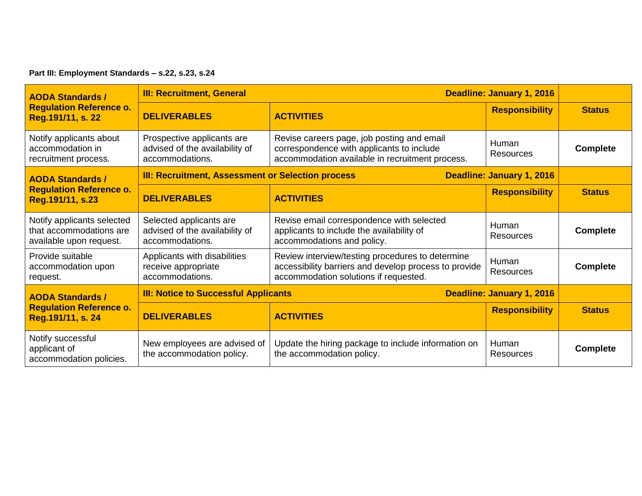**Part III: Employment Standards – s.22, s.23, s.24**

| <b>AODA Standards /</b>                                                          | Deadline: January 1, 2016<br><b>III: Recruitment, General</b>                   |                                                                                                                                                    |                           |                 |
|----------------------------------------------------------------------------------|---------------------------------------------------------------------------------|----------------------------------------------------------------------------------------------------------------------------------------------------|---------------------------|-----------------|
| <b>Regulation Reference o.</b><br>Reg.191/11, s. 22                              | <b>DELIVERABLES</b>                                                             | <b>ACTIVITIES</b>                                                                                                                                  | <b>Responsibility</b>     | <b>Status</b>   |
| Notify applicants about<br>accommodation in<br>recruitment process.              | Prospective applicants are<br>advised of the availability of<br>accommodations. | Revise careers page, job posting and email<br>correspondence with applicants to include<br>accommodation available in recruitment process.         | Human<br><b>Resources</b> | <b>Complete</b> |
| <b>AODA Standards /</b>                                                          | <b>III: Recruitment, Assessment or Selection process</b>                        |                                                                                                                                                    | Deadline: January 1, 2016 |                 |
| <b>Regulation Reference o.</b><br>Reg.191/11, s.23                               | <b>DELIVERABLES</b>                                                             | <b>ACTIVITIES</b>                                                                                                                                  | <b>Responsibility</b>     | <b>Status</b>   |
| Notify applicants selected<br>that accommodations are<br>available upon request. | Selected applicants are<br>advised of the availability of<br>accommodations.    | Revise email correspondence with selected<br>applicants to include the availability of<br>accommodations and policy.                               | Human<br><b>Resources</b> | <b>Complete</b> |
| Provide suitable<br>accommodation upon<br>request.                               | Applicants with disabilities<br>receive appropriate<br>accommodations.          | Review interview/testing procedures to determine<br>accessibility barriers and develop process to provide<br>accommodation solutions if requested. | Human<br>Resources        | <b>Complete</b> |
| <b>AODA Standards /</b><br><b>Regulation Reference o.</b><br>Reg.191/11, s. 24   | <b>III: Notice to Successful Applicants</b><br>Deadline: January 1, 2016        |                                                                                                                                                    |                           |                 |
|                                                                                  | <b>DELIVERABLES</b>                                                             | <b>ACTIVITIES</b>                                                                                                                                  | <b>Responsibility</b>     | <b>Status</b>   |
| Notify successful<br>applicant of<br>accommodation policies.                     | New employees are advised of<br>the accommodation policy.                       | Update the hiring package to include information on<br>the accommodation policy.                                                                   | Human<br>Resources        | <b>Complete</b> |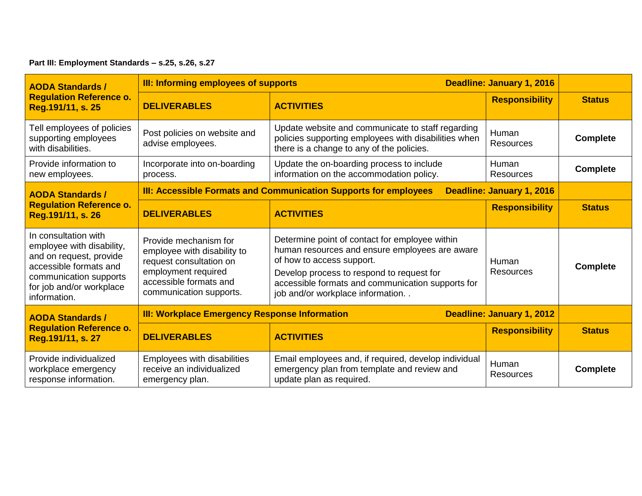**Part III: Employment Standards – s.25, s.26, s.27**

| <b>AODA Standards /</b>                                                                                                                                                      | <b>III: Informing employees of supports</b>                                                                                                                 |                                                                                                                                                                                                                                                                     | Deadline: January 1, 2016 |                 |
|------------------------------------------------------------------------------------------------------------------------------------------------------------------------------|-------------------------------------------------------------------------------------------------------------------------------------------------------------|---------------------------------------------------------------------------------------------------------------------------------------------------------------------------------------------------------------------------------------------------------------------|---------------------------|-----------------|
| <b>Regulation Reference o.</b><br>Reg.191/11, s. 25                                                                                                                          | <b>DELIVERABLES</b>                                                                                                                                         | <b>ACTIVITIES</b>                                                                                                                                                                                                                                                   | <b>Responsibility</b>     | <b>Status</b>   |
| Tell employees of policies<br>supporting employees<br>with disabilities.                                                                                                     | Post policies on website and<br>advise employees.                                                                                                           | Update website and communicate to staff regarding<br>policies supporting employees with disabilities when<br>there is a change to any of the policies.                                                                                                              | Human<br><b>Resources</b> | <b>Complete</b> |
| Provide information to<br>new employees.                                                                                                                                     | Incorporate into on-boarding<br>process.                                                                                                                    | Update the on-boarding process to include<br>information on the accommodation policy.                                                                                                                                                                               | Human<br><b>Resources</b> | <b>Complete</b> |
| <b>AODA Standards /</b>                                                                                                                                                      | <b>III: Accessible Formats and Communication Supports for employees</b><br>Deadline: January 1, 2016                                                        |                                                                                                                                                                                                                                                                     |                           |                 |
| <b>Regulation Reference o.</b><br>Reg.191/11, s. 26                                                                                                                          | <b>DELIVERABLES</b>                                                                                                                                         | <b>ACTIVITIES</b>                                                                                                                                                                                                                                                   | <b>Responsibility</b>     | <b>Status</b>   |
| In consultation with<br>employee with disability,<br>and on request, provide<br>accessible formats and<br>communication supports<br>for job and/or workplace<br>information. | Provide mechanism for<br>employee with disability to<br>request consultation on<br>employment required<br>accessible formats and<br>communication supports. | Determine point of contact for employee within<br>human resources and ensure employees are aware<br>of how to access support.<br>Develop process to respond to request for<br>accessible formats and communication supports for<br>job and/or workplace information | Human<br><b>Resources</b> | <b>Complete</b> |
| <b>AODA Standards /</b><br><b>Regulation Reference o.</b><br>Reg.191/11, s. 27                                                                                               | <b>III: Workplace Emergency Response Information</b>                                                                                                        |                                                                                                                                                                                                                                                                     | Deadline: January 1, 2012 |                 |
|                                                                                                                                                                              | <b>DELIVERABLES</b>                                                                                                                                         | <b>ACTIVITIES</b>                                                                                                                                                                                                                                                   | <b>Responsibility</b>     | <b>Status</b>   |
| Provide individualized<br>workplace emergency<br>response information.                                                                                                       | Employees with disabilities<br>receive an individualized<br>emergency plan.                                                                                 | Email employees and, if required, develop individual<br>emergency plan from template and review and<br>update plan as required.                                                                                                                                     | Human<br><b>Resources</b> | <b>Complete</b> |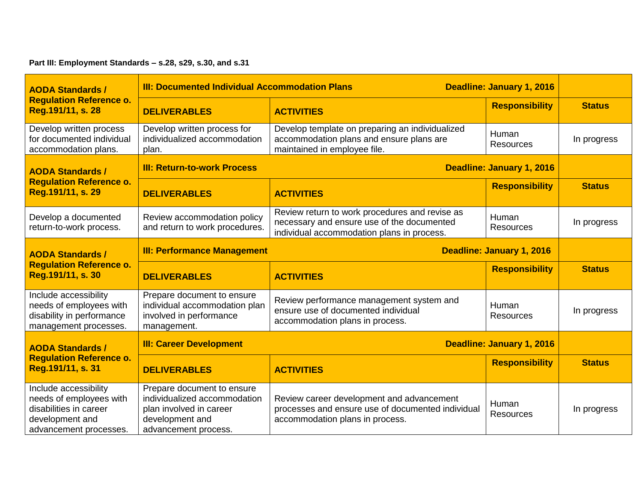## **Part III: Employment Standards – s.28, s29, s.30, and s.31**

| <b>AODA Standards /</b><br><b>Regulation Reference o.</b><br>Reg.191/11, s. 28                                          | <b>III: Documented Individual Accommodation Plans</b><br>Deadline: January 1, 2016                                               |                                                                                                                                            |                           |               |
|-------------------------------------------------------------------------------------------------------------------------|----------------------------------------------------------------------------------------------------------------------------------|--------------------------------------------------------------------------------------------------------------------------------------------|---------------------------|---------------|
|                                                                                                                         | <b>DELIVERABLES</b>                                                                                                              | <b>ACTIVITIES</b>                                                                                                                          | <b>Responsibility</b>     | <b>Status</b> |
| Develop written process<br>for documented individual<br>accommodation plans.                                            | Develop written process for<br>individualized accommodation<br>plan.                                                             | Develop template on preparing an individualized<br>accommodation plans and ensure plans are<br>maintained in employee file.                | Human<br><b>Resources</b> | In progress   |
| <b>AODA Standards /</b>                                                                                                 | <b>III: Return-to-work Process</b>                                                                                               |                                                                                                                                            | Deadline: January 1, 2016 |               |
| <b>Regulation Reference o.</b><br>Reg.191/11, s. 29                                                                     | <b>DELIVERABLES</b>                                                                                                              | <b>ACTIVITIES</b>                                                                                                                          | <b>Responsibility</b>     | <b>Status</b> |
| Develop a documented<br>return-to-work process.                                                                         | Review accommodation policy<br>and return to work procedures.                                                                    | Review return to work procedures and revise as<br>necessary and ensure use of the documented<br>individual accommodation plans in process. | Human<br><b>Resources</b> | In progress   |
| <b>AODA Standards /</b>                                                                                                 | <b>III: Performance Management</b><br><b>Deadline: January 1, 2016</b>                                                           |                                                                                                                                            |                           |               |
| <b>Regulation Reference o.</b><br>Reg.191/11, s. 30                                                                     | <b>DELIVERABLES</b>                                                                                                              | <b>ACTIVITIES</b>                                                                                                                          | <b>Responsibility</b>     | <b>Status</b> |
| Include accessibility<br>needs of employees with<br>disability in performance<br>management processes.                  | Prepare document to ensure<br>individual accommodation plan<br>involved in performance<br>management.                            | Review performance management system and<br>ensure use of documented individual<br>accommodation plans in process.                         | Human<br>Resources        | In progress   |
| <b>AODA Standards /</b><br><b>Regulation Reference o.</b><br>Reg.191/11, s. 31                                          | <b>III: Career Development</b>                                                                                                   | Deadline: January 1, 2016                                                                                                                  |                           |               |
|                                                                                                                         | <b>DELIVERABLES</b>                                                                                                              | <b>ACTIVITIES</b>                                                                                                                          | <b>Responsibility</b>     | <b>Status</b> |
| Include accessibility<br>needs of employees with<br>disabilities in career<br>development and<br>advancement processes. | Prepare document to ensure<br>individualized accommodation<br>plan involved in career<br>development and<br>advancement process. | Review career development and advancement<br>processes and ensure use of documented individual<br>accommodation plans in process.          | Human<br><b>Resources</b> | In progress   |